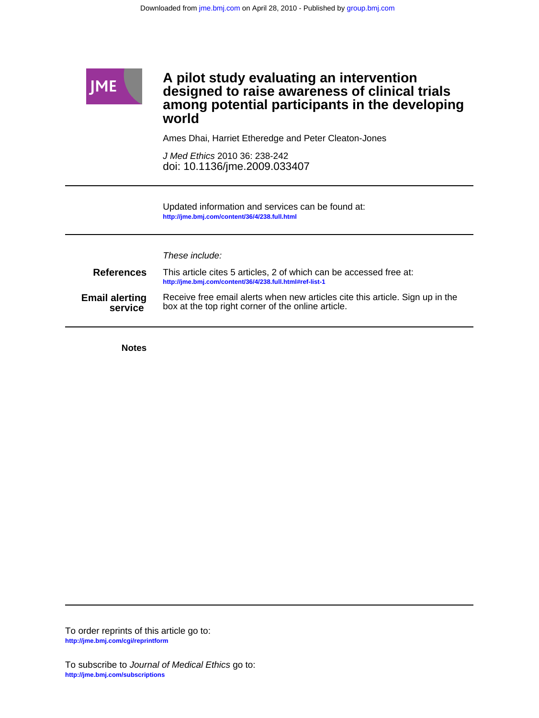

**Notes**

**<http://jme.bmj.com/cgi/reprintform>** To order reprints of this article go to:

**<http://jme.bmj.com/subscriptions>** To subscribe to Journal of Medical Ethics go to: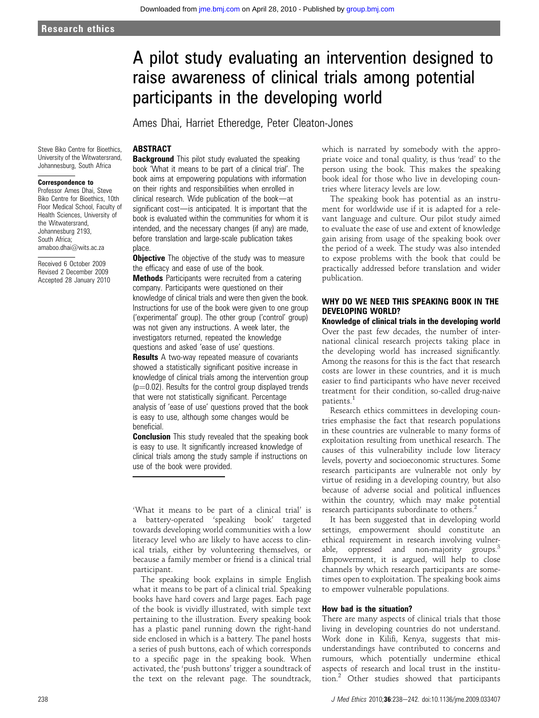# A pilot study evaluating an intervention designed to raise awareness of clinical trials among potential participants in the developing world

Ames Dhai, Harriet Etheredge, Peter Cleaton-Jones

# **ABSTRACT**

Steve Biko Centre for Bioethics, University of the Witwatersrand, Johannesburg, South Africa

#### Correspondence to

Professor Ames Dhai, Steve Biko Centre for Bioethics, 10th Floor Medical School, Faculty of Health Sciences, University of the Witwatersrand, Johannesburg 2193, South Africa; amaboo.dhai@wits.ac.za

Received 6 October 2009 Revised 2 December 2009 Accepted 28 January 2010 **Background** This pilot study evaluated the speaking book 'What it means to be part of a clinical trial'. The book aims at empowering populations with information on their rights and responsibilities when enrolled in  $clinical research.$  Wide publication of the book-at significant cost-is anticipated. It is important that the book is evaluated within the communities for whom it is intended, and the necessary changes (if any) are made, before translation and large-scale publication takes place.

**Objective** The objective of the study was to measure the efficacy and ease of use of the book. **Methods** Participants were recruited from a catering company. Participants were questioned on their knowledge of clinical trials and were then given the book. Instructions for use of the book were given to one group ('experimental' group). The other group ('control' group) was not given any instructions. A week later, the investigators returned, repeated the knowledge questions and asked 'ease of use' questions. **Results** A two-way repeated measure of covariants showed a statistically significant positive increase in knowledge of clinical trials among the intervention group  $(p=0.02)$ . Results for the control group displayed trends that were not statistically significant. Percentage analysis of 'ease of use' questions proved that the book

is easy to use, although some changes would be beneficial.

**Conclusion** This study revealed that the speaking book is easy to use. It significantly increased knowledge of clinical trials among the study sample if instructions on use of the book were provided.

'What it means to be part of a clinical trial' is a battery-operated 'speaking book' targeted towards developing world communities with a low literacy level who are likely to have access to clinical trials, either by volunteering themselves, or because a family member or friend is a clinical trial participant.

The speaking book explains in simple English what it means to be part of a clinical trial. Speaking books have hard covers and large pages. Each page of the book is vividly illustrated, with simple text pertaining to the illustration. Every speaking book has a plastic panel running down the right-hand side enclosed in which is a battery. The panel hosts a series of push buttons, each of which corresponds to a specific page in the speaking book. When activated, the 'push buttons' trigger a soundtrack of the text on the relevant page. The soundtrack, which is narrated by somebody with the appropriate voice and tonal quality, is thus 'read' to the person using the book. This makes the speaking book ideal for those who live in developing countries where literacy levels are low.

The speaking book has potential as an instrument for worldwide use if it is adapted for a relevant language and culture. Our pilot study aimed to evaluate the ease of use and extent of knowledge gain arising from usage of the speaking book over the period of a week. The study was also intended to expose problems with the book that could be practically addressed before translation and wider publication.

# WHY DO WE NEED THIS SPEAKING BOOK IN THE DEVELOPING WORLD?

Knowledge of clinical trials in the developing world Over the past few decades, the number of international clinical research projects taking place in the developing world has increased significantly. Among the reasons for this is the fact that research costs are lower in these countries, and it is much easier to find participants who have never received treatment for their condition, so-called drug-naive patients.<sup>1</sup>

Research ethics committees in developing countries emphasise the fact that research populations in these countries are vulnerable to many forms of exploitation resulting from unethical research. The causes of this vulnerability include low literacy levels, poverty and socioeconomic structures. Some research participants are vulnerable not only by virtue of residing in a developing country, but also because of adverse social and political influences within the country, which may make potential research participants subordinate to others.<sup>2</sup>

It has been suggested that in developing world settings, empowerment should constitute an ethical requirement in research involving vulnerable, oppressed and non-majority groups.<sup>3</sup> Empowerment, it is argued, will help to close channels by which research participants are sometimes open to exploitation. The speaking book aims to empower vulnerable populations.

#### How bad is the situation?

There are many aspects of clinical trials that those living in developing countries do not understand. Work done in Kilifi, Kenya, suggests that misunderstandings have contributed to concerns and rumours, which potentially undermine ethical aspects of research and local trust in the institution.<sup>2</sup> Other studies showed that participants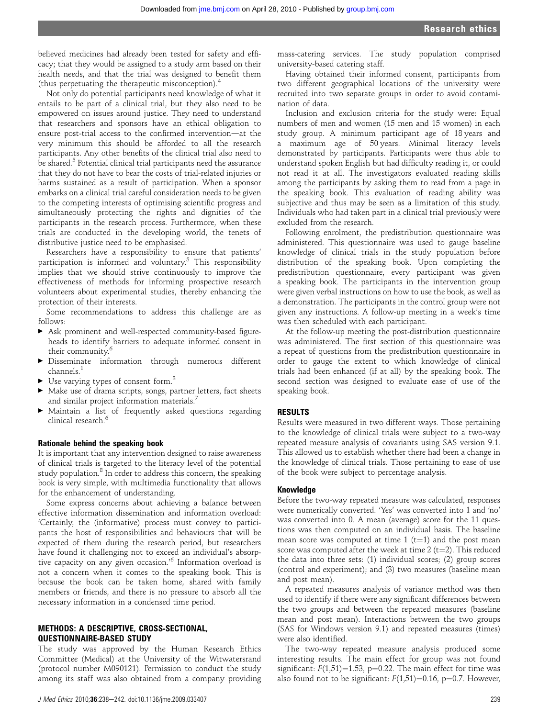believed medicines had already been tested for safety and efficacy; that they would be assigned to a study arm based on their health needs, and that the trial was designed to benefit them (thus perpetuating the therapeutic misconception).<sup>4</sup>

Not only do potential participants need knowledge of what it entails to be part of a clinical trial, but they also need to be empowered on issues around justice. They need to understand that researchers and sponsors have an ethical obligation to ensure post-trial access to the confirmed intervention—at the very minimum this should be afforded to all the research participants. Any other benefits of the clinical trial also need to be shared.<sup>5</sup> Potential clinical trial participants need the assurance that they do not have to bear the costs of trial-related injuries or harms sustained as a result of participation. When a sponsor embarks on a clinical trial careful consideration needs to be given to the competing interests of optimising scientific progress and simultaneously protecting the rights and dignities of the participants in the research process. Furthermore, when these trials are conducted in the developing world, the tenets of distributive justice need to be emphasised.

Researchers have a responsibility to ensure that patients' participation is informed and voluntary.5 This responsibility implies that we should strive continuously to improve the effectiveness of methods for informing prospective research volunteers about experimental studies, thereby enhancing the protection of their interests.

Some recommendations to address this challenge are as follows:

- < Ask prominent and well-respected community-based figureheads to identify barriers to adequate informed consent in their community.<sup>6</sup>
- < Disseminate information through numerous different channels.<sup>1</sup>
- $\blacktriangleright$  Use varying types of consent form.<sup>3</sup>
- < Make use of drama scripts, songs, partner letters, fact sheets and similar project information materials.<sup>7</sup>
- < Maintain a list of frequently asked questions regarding clinical research.<sup>6</sup>

#### Rationale behind the speaking book

It is important that any intervention designed to raise awareness of clinical trials is targeted to the literacy level of the potential study population.<sup>8</sup> In order to address this concern, the speaking book is very simple, with multimedia functionality that allows for the enhancement of understanding.

Some express concerns about achieving a balance between effective information dissemination and information overload: 'Certainly, the (informative) process must convey to participants the host of responsibilities and behaviours that will be expected of them during the research period, but researchers have found it challenging not to exceed an individual's absorptive capacity on any given occasion.' <sup>6</sup> Information overload is not a concern when it comes to the speaking book. This is because the book can be taken home, shared with family members or friends, and there is no pressure to absorb all the necessary information in a condensed time period.

# METHODS: A DESCRIPTIVE, CROSS-SECTIONAL, QUESTIONNAIRE-BASED STUDY

The study was approved by the Human Research Ethics Committee (Medical) at the University of the Witwatersrand (protocol number M090121). Permission to conduct the study among its staff was also obtained from a company providing

mass-catering services. The study population comprised university-based catering staff.

Having obtained their informed consent, participants from two different geographical locations of the university were recruited into two separate groups in order to avoid contamination of data.

Inclusion and exclusion criteria for the study were: Equal numbers of men and women (15 men and 15 women) in each study group. A minimum participant age of 18 years and a maximum age of 50 years. Minimal literacy levels demonstrated by participants. Participants were thus able to understand spoken English but had difficulty reading it, or could not read it at all. The investigators evaluated reading skills among the participants by asking them to read from a page in the speaking book. This evaluation of reading ability was subjective and thus may be seen as a limitation of this study. Individuals who had taken part in a clinical trial previously were excluded from the research.

Following enrolment, the predistribution questionnaire was administered. This questionnaire was used to gauge baseline knowledge of clinical trials in the study population before distribution of the speaking book. Upon completing the predistribution questionnaire, every participant was given a speaking book. The participants in the intervention group were given verbal instructions on how to use the book, as well as a demonstration. The participants in the control group were not given any instructions. A follow-up meeting in a week's time was then scheduled with each participant.

At the follow-up meeting the post-distribution questionnaire was administered. The first section of this questionnaire was a repeat of questions from the predistribution questionnaire in order to gauge the extent to which knowledge of clinical trials had been enhanced (if at all) by the speaking book. The second section was designed to evaluate ease of use of the speaking book.

# RESULTS

Results were measured in two different ways. Those pertaining to the knowledge of clinical trials were subject to a two-way repeated measure analysis of covariants using SAS version 9.1. This allowed us to establish whether there had been a change in the knowledge of clinical trials. Those pertaining to ease of use of the book were subject to percentage analysis.

# Knowledge

Before the two-way repeated measure was calculated, responses were numerically converted. 'Yes' was converted into 1 and 'no' was converted into 0. A mean (average) score for the 11 questions was then computed on an individual basis. The baseline mean score was computed at time  $1$  (t=1) and the post mean score was computed after the week at time  $2$  (t=2). This reduced the data into three sets: (1) individual scores; (2) group scores (control and experiment); and (3) two measures (baseline mean and post mean).

A repeated measures analysis of variance method was then used to identify if there were any significant differences between the two groups and between the repeated measures (baseline mean and post mean). Interactions between the two groups (SAS for Windows version 9.1) and repeated measures (times) were also identified.

The two-way repeated measure analysis produced some interesting results. The main effect for group was not found significant:  $F(1,51)=1.53$ , p=0.22. The main effect for time was also found not to be significant:  $F(1,51)=0.16$ , p=0.7. However,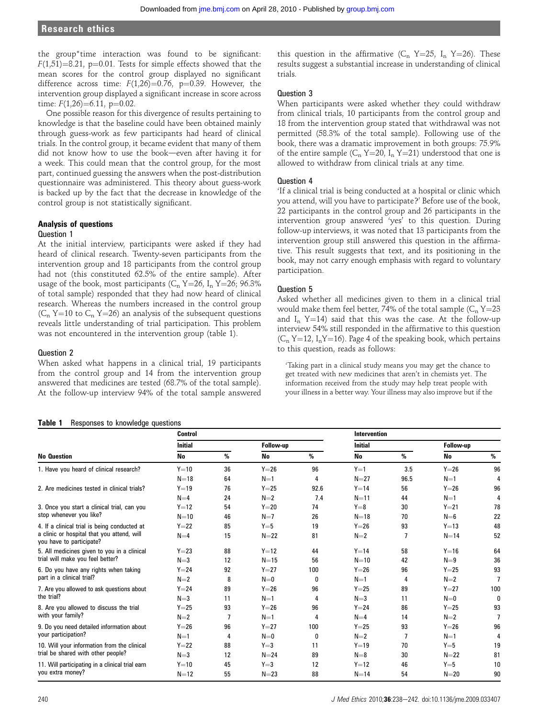# Research ethics

the group\*time interaction was found to be significant:  $F(1,51)=8.21$ , p=0.01. Tests for simple effects showed that the mean scores for the control group displayed no significant difference across time:  $F(1,26)=0.76$ , p=0.39. However, the intervention group displayed a significant increase in score across time:  $F(1,26)=6.11$ , p=0.02.

One possible reason for this divergence of results pertaining to knowledge is that the baseline could have been obtained mainly through guess-work as few participants had heard of clinical trials. In the control group, it became evident that many of them did not know how to use the book-even after having it for a week. This could mean that the control group, for the most part, continued guessing the answers when the post-distribution questionnaire was administered. This theory about guess-work is backed up by the fact that the decrease in knowledge of the control group is not statistically significant.

# Analysis of questions

#### Question 1

At the initial interview, participants were asked if they had heard of clinical research. Twenty-seven participants from the intervention group and 18 participants from the control group had not (this constituted 62.5% of the entire sample). After usage of the book, most participants ( $C_n$  Y=26, I<sub>n</sub> Y=26; 96.3% of total sample) responded that they had now heard of clinical research. Whereas the numbers increased in the control group ( $C_n$  Y=10 to  $C_n$  Y=26) an analysis of the subsequent questions reveals little understanding of trial participation. This problem was not encountered in the intervention group (table 1).

# Question 2

When asked what happens in a clinical trial, 19 participants from the control group and 14 from the intervention group answered that medicines are tested (68.7% of the total sample). At the follow-up interview 94% of the total sample answered

#### Table 1 Responses to knowledge questions

No Question Control Intervention Initial Follow-up Initial Follow-up No % No % No % No % 1. Have you heard of clinical research?  $Y=10$   $36$   $Y=26$   $96$   $Y=1$   $3.5$   $Y=26$   $96$ <br> $N=1$   $4$   $N=27$   $96.5$   $N=1$   $4$  $N=18$  64  $N=1$  4  $N=27$  96.5  $N=1$  4 2. Are medicines tested in clinical trials?  $Y=19$   $Y=4$   $Y=25$   $Y=26$   $Y=14$   $Y=26$   $Y=26$   $Y=26$   $Y=26$   $Y=26$   $Y=26$   $Y=26$   $Y=26$   $Y=26$   $Y=26$   $Y=26$   $Y=26$   $Y=26$   $Y=26$   $Y=26$   $Y=26$   $Y=26$   $Y=26$   $Y=26$   $Y=26$   $Y=$  $N=4$  24  $N=2$  7.4  $N=11$  44  $N=1$ 3. Once you start a clinical trial, can you stop whenever you like?  $Y=12$  54  $Y=20$  74  $Y=8$  30  $Y=21$  78  $N=10$  46  $N=7$  26  $N=18$  70  $N=6$  22 4. If a clinical trial is being conducted at a clinic or hospital that you attend, will you have to participate?  $Y=22$  85  $Y=5$  19  $Y=26$  93  $Y=13$  48  $N=4$  15  $N=2$  81  $N=2$  7  $N=14$  52 5. All medicines given to you in a clinical trial will make you feel better?  $Y=23$  88  $Y=12$  44  $Y=14$  58  $Y=16$  64  $N=3$  12  $N=15$  56  $N=10$  42  $N=9$  36 6. Do you have any rights when taking part in a clinical trial?  $Y=24$  92  $Y=27$  100  $Y=26$  96  $Y=25$  93  $N=2$  8  $N=0$  0  $N=1$  4  $N=2$  7 7. Are you allowed to ask questions about the trial?  $Y=24$  89  $Y=26$  96  $Y=25$  89  $Y=27$  100  $N=3$  11  $N=1$  4  $N=3$  11  $N=0$  0 8. Are you allowed to discuss the trial with your family?  $Y=25$  93  $Y=26$  96  $Y=24$  86  $Y=25$  93  $N=2$  7  $N=1$  4  $N=4$  14  $N=2$  7 9. Do you need detailed information about your participation?  $Y=26$  96  $Y=27$  100  $Y=25$  93  $Y=26$  96  $N=1$  4  $N=0$  0  $N=2$  7  $N=1$  4 10. Will your information from the clinical trial be shared with other people?  $Y=22$  88  $Y=3$  11  $Y=19$  70  $Y=5$  19  $N=3$  12  $N=24$  89  $N=8$  30  $N=22$  81 11. Will participating in a clinical trial earn you extra money?  $Y=10$  45  $Y=3$  12  $Y=12$  46  $Y=5$  10  $N=12$  55  $N=23$  88  $N=14$  54  $N=20$  90

this question in the affirmative  $(C_n Y=25, I_n Y=26)$ . These results suggest a substantial increase in understanding of clinical trials.

# Question 3

When participants were asked whether they could withdraw from clinical trials, 10 participants from the control group and 18 from the intervention group stated that withdrawal was not permitted (58.3% of the total sample). Following use of the book, there was a dramatic improvement in both groups: 75.9% of the entire sample ( $C_n$  Y=20, I<sub>n</sub> Y=21) understood that one is allowed to withdraw from clinical trials at any time.

# Question 4

'If a clinical trial is being conducted at a hospital or clinic which you attend, will you have to participate?' Before use of the book, 22 participants in the control group and 26 participants in the intervention group answered 'yes' to this question. During follow-up interviews, it was noted that 13 participants from the intervention group still answered this question in the affirmative. This result suggests that text, and its positioning in the book, may not carry enough emphasis with regard to voluntary participation.

# Question 5

Asked whether all medicines given to them in a clinical trial would make them feel better, 74% of the total sample  $(C_n Y=23)$ and  $I_n$  Y=14) said that this was the case. At the follow-up interview 54% still responded in the affirmative to this question  $(C_n Y=12, I_nY=16)$ . Page 4 of the speaking book, which pertains to this question, reads as follows:

'Taking part in a clinical study means you may get the chance to get treated with new medicines that aren't in chemists yet. The information received from the study may help treat people with your illness in a better way. Your illness may also improve but if the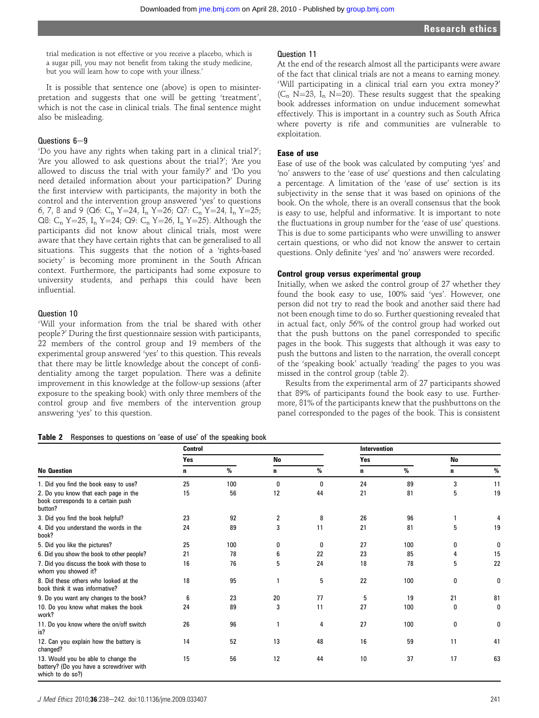Question 11

exploitation.

Ease of use

trial medication is not effective or you receive a placebo, which is a sugar pill, you may not benefit from taking the study medicine, but you will learn how to cope with your illness.'

It is possible that sentence one (above) is open to misinterpretation and suggests that one will be getting 'treatment', which is not the case in clinical trials. The final sentence might also be misleading.

# $Questions 6-9$

'Do you have any rights when taking part in a clinical trial?'; 'Are you allowed to ask questions about the trial?'; 'Are you allowed to discuss the trial with your family?' and 'Do you need detailed information about your participation?' During the first interview with participants, the majority in both the control and the intervention group answered 'yes' to questions 6, 7, 8 and 9 (Q6: C<sub>n</sub> Y=24, I<sub>n</sub> Y=26; Q7: C<sub>n</sub> Y=24, I<sub>n</sub> Y=25; Q8:  $C_n$  Y=25, I<sub>n</sub> Y=24; Q9:  $C_n$  Y=26, I<sub>n</sub> Y=25). Although the participants did not know about clinical trials, most were aware that they have certain rights that can be generalised to all situations. This suggests that the notion of a 'rights-based society' is becoming more prominent in the South African context. Furthermore, the participants had some exposure to university students, and perhaps this could have been influential.

# Question 10

'Will your information from the trial be shared with other people?' During the first questionnaire session with participants, 22 members of the control group and 19 members of the experimental group answered 'yes' to this question. This reveals that there may be little knowledge about the concept of confidentiality among the target population. There was a definite improvement in this knowledge at the follow-up sessions (after exposure to the speaking book) with only three members of the control group and five members of the intervention group answering 'yes' to this question.

#### Table 2 Responses to questions on 'ease of use' of the speaking book

# 'no' answers to the 'ease of use' questions and then calculating a percentage. A limitation of the 'ease of use' section is its subjectivity in the sense that it was based on opinions of the book. On the whole, there is an overall consensus that the book

is easy to use, helpful and informative. It is important to note the fluctuations in group number for the 'ease of use' questions. This is due to some participants who were unwilling to answer certain questions, or who did not know the answer to certain questions. Only definite 'yes' and 'no' answers were recorded.

Ease of use of the book was calculated by computing 'yes' and

At the end of the research almost all the participants were aware of the fact that clinical trials are not a means to earning money. 'Will participating in a clinical trial earn you extra money?' ( $C_n$  N=23, I<sub>n</sub> N=20). These results suggest that the speaking book addresses information on undue inducement somewhat effectively. This is important in a country such as South Africa where poverty is rife and communities are vulnerable to

# Control group versus experimental group

Initially, when we asked the control group of 27 whether they found the book easy to use, 100% said 'yes'. However, one person did not try to read the book and another said there had not been enough time to do so. Further questioning revealed that in actual fact, only 56% of the control group had worked out that the push buttons on the panel corresponded to specific pages in the book. This suggests that although it was easy to push the buttons and listen to the narration, the overall concept of the 'speaking book' actually 'reading' the pages to you was missed in the control group (table 2).

Results from the experimental arm of 27 participants showed that 89% of participants found the book easy to use. Furthermore, 81% of the participants knew that the pushbuttons on the panel corresponded to the pages of the book. This is consistent

| <b>No Question</b>                                                                                  | <b>Control</b> |     |           |    | Intervention |      |           |    |
|-----------------------------------------------------------------------------------------------------|----------------|-----|-----------|----|--------------|------|-----------|----|
|                                                                                                     | Yes            |     | <b>No</b> |    | Yes          |      | <b>No</b> |    |
|                                                                                                     | n              | %   | n         | %  | n            | $\%$ | n         | %  |
| 1. Did you find the book easy to use?                                                               | 25             | 100 | 0         | 0  | 24           | 89   | 3         | 11 |
| 2. Do you know that each page in the<br>book corresponds to a certain push<br>button?               | 15             | 56  | 12        | 44 | 21           | 81   | 5         | 19 |
| 3. Did you find the book helpful?                                                                   | 23             | 92  | 2         | 8  | 26           | 96   |           | 4  |
| 4. Did you understand the words in the<br>book?                                                     | 24             | 89  | 3         | 11 | 21           | 81   | 5         | 19 |
| 5. Did you like the pictures?                                                                       | 25             | 100 | 0         | 0  | 27           | 100  | 0         | 0  |
| 6. Did you show the book to other people?                                                           | 21             | 78  | 6         | 22 | 23           | 85   | 4         | 15 |
| 7. Did you discuss the book with those to<br>whom you showed it?                                    | 16             | 76  | 5         | 24 | 18           | 78   | 5         | 22 |
| 8. Did these others who looked at the<br>book think it was informative?                             | 18             | 95  |           | 5  | 22           | 100  | 0         | 0  |
| 9. Do you want any changes to the book?                                                             | 6              | 23  | 20        | 77 | 5            | 19   | 21        | 81 |
| 10. Do you know what makes the book<br>work?                                                        | 24             | 89  | 3         | 11 | 27           | 100  | 0         | 0  |
| 11. Do you know where the on/off switch<br>is?                                                      | 26             | 96  | 1         | 4  | 27           | 100  | 0         | 0  |
| 12. Can you explain how the battery is<br>changed?                                                  | 14             | 52  | 13        | 48 | 16           | 59   | 11        | 41 |
| 13. Would you be able to change the<br>battery? (Do you have a screwdriver with<br>which to do so?) | 15             | 56  | 12        | 44 | 10           | 37   | 17        | 63 |